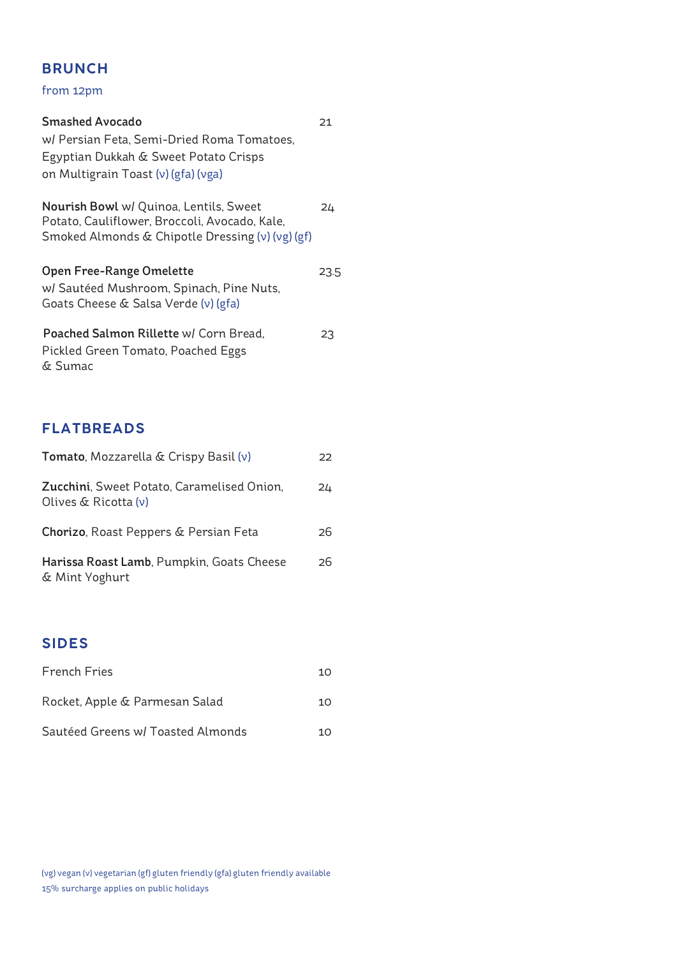#### **BRUNCH**

from 12pm

| <b>Smashed Avocado</b><br>w/ Persian Feta, Semi-Dried Roma Tomatoes,<br>Egyptian Dukkah & Sweet Potato Crisps<br>on Multigrain Toast (v) (gfa) (vga) | 21   |
|------------------------------------------------------------------------------------------------------------------------------------------------------|------|
| <b>Nourish Bowl</b> w/ Quinoa, Lentils, Sweet<br>Potato, Cauliflower, Broccoli, Avocado, Kale,<br>Smoked Almonds & Chipotle Dressing (v) (vg) (gf)   | 24   |
| Open Free-Range Omelette<br>w/ Sautéed Mushroom, Spinach, Pine Nuts,<br>Goats Cheese & Salsa Verde (v) (gfa)                                         | 23.5 |
| Poached Salmon Rillette w/ Corn Bread,<br>Pickled Green Tomato, Poached Eggs<br>& Sumac                                                              | 23   |

## **FLATBREADS**

| <b>Tomato, Mozzarella &amp; Crispy Basil (v)</b>                      | 22 |
|-----------------------------------------------------------------------|----|
| Zucchini, Sweet Potato, Caramelised Onion,<br>Olives $\&$ Ricotta (v) | 24 |
| Chorizo, Roast Peppers & Persian Feta                                 | 26 |
| Harissa Roast Lamb, Pumpkin, Goats Cheese<br>& Mint Yoghurt           | 26 |

## **SIDES**

| <b>French Fries</b>               | 10 |
|-----------------------------------|----|
| Rocket, Apple & Parmesan Salad    | 10 |
| Sautéed Greens w/ Toasted Almonds | 10 |